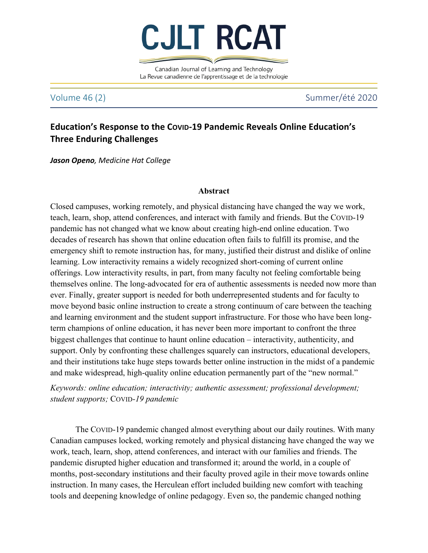

Canadian Journal of Learning and Technology La Revue canadienne de l'apprentissage et de la technologie

Volume 46 (2) Summer/été 2020

# **Education's Response to the Covip-19 Pandemic Reveals Online Education's Three Enduring Challenges**

**Jason Openo**, Medicine Hat College

# **Abstract**

Closed campuses, working remotely, and physical distancing have changed the way we work, teach, learn, shop, attend conferences, and interact with family and friends. But the COVID-19 pandemic has not changed what we know about creating high-end online education. Two decades of research has shown that online education often fails to fulfill its promise, and the emergency shift to remote instruction has, for many, justified their distrust and dislike of online learning. Low interactivity remains a widely recognized short-coming of current online offerings. Low interactivity results, in part, from many faculty not feeling comfortable being themselves online. The long-advocated for era of authentic assessments is needed now more than ever. Finally, greater support is needed for both underrepresented students and for faculty to move beyond basic online instruction to create a strong continuum of care between the teaching and learning environment and the student support infrastructure. For those who have been longterm champions of online education, it has never been more important to confront the three biggest challenges that continue to haunt online education – interactivity, authenticity, and support. Only by confronting these challenges squarely can instructors, educational developers, and their institutions take huge steps towards better online instruction in the midst of a pandemic and make widespread, high-quality online education permanently part of the "new normal."

*Keywords: online education; interactivity; authentic assessment; professional development; student supports;* COVID*-19 pandemic*

The COVID-19 pandemic changed almost everything about our daily routines. With many Canadian campuses locked, working remotely and physical distancing have changed the way we work, teach, learn, shop, attend conferences, and interact with our families and friends. The pandemic disrupted higher education and transformed it; around the world, in a couple of months, post-secondary institutions and their faculty proved agile in their move towards online instruction. In many cases, the Herculean effort included building new comfort with teaching tools and deepening knowledge of online pedagogy. Even so, the pandemic changed nothing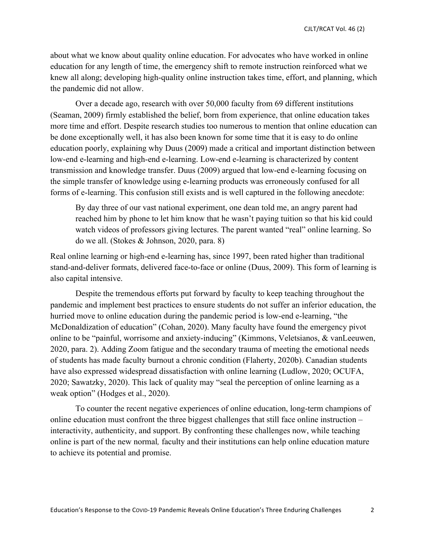about what we know about quality online education. For advocates who have worked in online education for any length of time, the emergency shift to remote instruction reinforced what we knew all along; developing high-quality online instruction takes time, effort, and planning, which the pandemic did not allow.

Over a decade ago, research with over 50,000 faculty from 69 different institutions (Seaman, 2009) firmly established the belief, born from experience, that online education takes more time and effort. Despite research studies too numerous to mention that online education can be done exceptionally well, it has also been known for some time that it is easy to do online education poorly, explaining why Duus (2009) made a critical and important distinction between low-end e-learning and high-end e-learning. Low-end e-learning is characterized by content transmission and knowledge transfer. Duus (2009) argued that low-end e-learning focusing on the simple transfer of knowledge using e-learning products was erroneously confused for all forms of e-learning. This confusion still exists and is well captured in the following anecdote:

By day three of our vast national experiment, one dean told me, an angry parent had reached him by phone to let him know that he wasn't paying tuition so that his kid could watch videos of professors giving lectures. The parent wanted "real" online learning. So do we all. (Stokes & Johnson, 2020, para. 8)

Real online learning or high-end e-learning has, since 1997, been rated higher than traditional stand-and-deliver formats, delivered face-to-face or online (Duus, 2009). This form of learning is also capital intensive.

Despite the tremendous efforts put forward by faculty to keep teaching throughout the pandemic and implement best practices to ensure students do not suffer an inferior education, the hurried move to online education during the pandemic period is low-end e-learning, "the McDonaldization of education" (Cohan, 2020). Many faculty have found the emergency pivot online to be "painful, worrisome and anxiety-inducing" (Kimmons, Veletsianos, & vanLeeuwen, 2020, para. 2). Adding Zoom fatigue and the secondary trauma of meeting the emotional needs of students has made faculty burnout a chronic condition (Flaherty, 2020b). Canadian students have also expressed widespread dissatisfaction with online learning (Ludlow, 2020; OCUFA, 2020; Sawatzky, 2020). This lack of quality may "seal the perception of online learning as a weak option" (Hodges et al., 2020).

To counter the recent negative experiences of online education, long-term champions of online education must confront the three biggest challenges that still face online instruction – interactivity, authenticity, and support. By confronting these challenges now, while teaching online is part of the new normal*,* faculty and their institutions can help online education mature to achieve its potential and promise.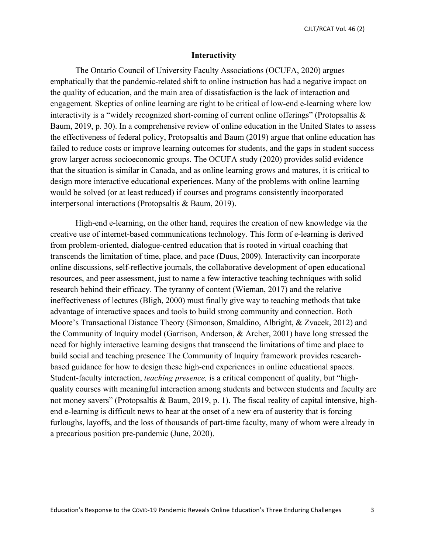CJLT/RCAT Vol. 46 (2)

### **Interactivity**

The Ontario Council of University Faculty Associations (OCUFA, 2020) argues emphatically that the pandemic-related shift to online instruction has had a negative impact on the quality of education, and the main area of dissatisfaction is the lack of interaction and engagement. Skeptics of online learning are right to be critical of low-end e-learning where low interactivity is a "widely recognized short-coming of current online offerings" (Protopsaltis & Baum, 2019, p. 30). In a comprehensive review of online education in the United States to assess the effectiveness of federal policy, Protopsaltis and Baum (2019) argue that online education has failed to reduce costs or improve learning outcomes for students, and the gaps in student success grow larger across socioeconomic groups. The OCUFA study (2020) provides solid evidence that the situation is similar in Canada, and as online learning grows and matures, it is critical to design more interactive educational experiences. Many of the problems with online learning would be solved (or at least reduced) if courses and programs consistently incorporated interpersonal interactions (Protopsaltis & Baum, 2019).

High-end e-learning, on the other hand, requires the creation of new knowledge via the creative use of internet-based communications technology. This form of e-learning is derived from problem-oriented, dialogue-centred education that is rooted in virtual coaching that transcends the limitation of time, place, and pace (Duus, 2009). Interactivity can incorporate online discussions, self-reflective journals, the collaborative development of open educational resources, and peer assessment, just to name a few interactive teaching techniques with solid research behind their efficacy. The tyranny of content (Wieman, 2017) and the relative ineffectiveness of lectures (Bligh, 2000) must finally give way to teaching methods that take advantage of interactive spaces and tools to build strong community and connection. Both Moore's Transactional Distance Theory (Simonson, Smaldino, Albright, & Zvacek, 2012) and the Community of Inquiry model (Garrison, Anderson, & Archer, 2001) have long stressed the need for highly interactive learning designs that transcend the limitations of time and place to build social and teaching presence The Community of Inquiry framework provides researchbased guidance for how to design these high-end experiences in online educational spaces. Student-faculty interaction, *teaching presence,* is a critical component of quality, but "highquality courses with meaningful interaction among students and between students and faculty are not money savers" (Protopsaltis & Baum, 2019, p. 1). The fiscal reality of capital intensive, highend e-learning is difficult news to hear at the onset of a new era of austerity that is forcing furloughs, layoffs, and the loss of thousands of part-time faculty, many of whom were already in a precarious position pre-pandemic (June, 2020).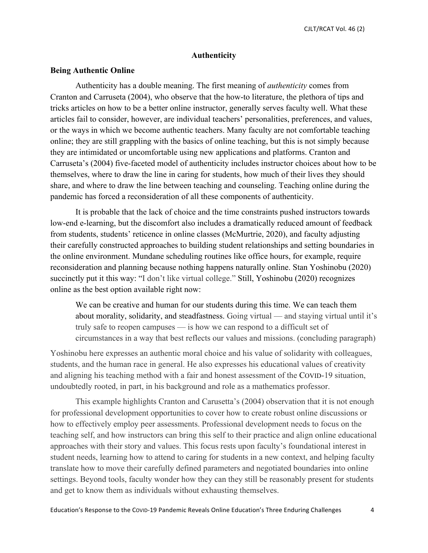# **Authenticity**

# **Being Authentic Online**

Authenticity has a double meaning. The first meaning of *authenticity* comes from Cranton and Carruseta (2004), who observe that the how-to literature, the plethora of tips and tricks articles on how to be a better online instructor, generally serves faculty well. What these articles fail to consider, however, are individual teachers' personalities, preferences, and values, or the ways in which we become authentic teachers. Many faculty are not comfortable teaching online; they are still grappling with the basics of online teaching, but this is not simply because they are intimidated or uncomfortable using new applications and platforms. Cranton and Carruseta's (2004) five-faceted model of authenticity includes instructor choices about how to be themselves, where to draw the line in caring for students, how much of their lives they should share, and where to draw the line between teaching and counseling. Teaching online during the pandemic has forced a reconsideration of all these components of authenticity.

It is probable that the lack of choice and the time constraints pushed instructors towards low-end e-learning, but the discomfort also includes a dramatically reduced amount of feedback from students, students' reticence in online classes (McMurtrie, 2020), and faculty adjusting their carefully constructed approaches to building student relationships and setting boundaries in the online environment. Mundane scheduling routines like office hours, for example, require reconsideration and planning because nothing happens naturally online. Stan Yoshinobu (2020) succinctly put it this way: "I don't like virtual college." Still, Yoshinobu (2020) recognizes online as the best option available right now:

We can be creative and human for our students during this time. We can teach them about morality, solidarity, and steadfastness. Going virtual — and staying virtual until it's truly safe to reopen campuses — is how we can respond to a difficult set of circumstances in a way that best reflects our values and missions. (concluding paragraph)

Yoshinobu here expresses an authentic moral choice and his value of solidarity with colleagues, students, and the human race in general. He also expresses his educational values of creativity and aligning his teaching method with a fair and honest assessment of the COVID-19 situation, undoubtedly rooted, in part, in his background and role as a mathematics professor.

This example highlights Cranton and Carusetta's (2004) observation that it is not enough for professional development opportunities to cover how to create robust online discussions or how to effectively employ peer assessments. Professional development needs to focus on the teaching self, and how instructors can bring this self to their practice and align online educational approaches with their story and values. This focus rests upon faculty's foundational interest in student needs, learning how to attend to caring for students in a new context, and helping faculty translate how to move their carefully defined parameters and negotiated boundaries into online settings. Beyond tools, faculty wonder how they can they still be reasonably present for students and get to know them as individuals without exhausting themselves.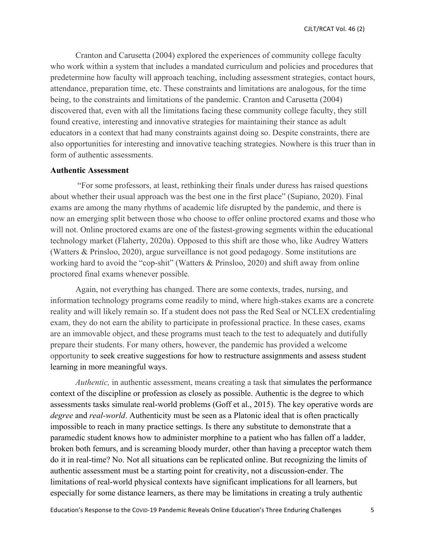Cranton and Carusetta (2004) explored the experiences of community college faculty who work within a system that includes a mandated curriculum and policies and procedures that predetermine how faculty will approach teaching, including assessment strategies, contact hours, attendance, preparation time, etc. These constraints and limitations are analogous, for the time being, to the constraints and limitations of the pandemic. Cranton and Carusetta (2004) discovered that, even with all the limitations facing these community college faculty, they still found creative, interesting and innovative strategies for maintaining their stance as adult educators in a context that had many constraints against doing so. Despite constraints, there are also opportunities for interesting and innovative teaching strategies. Nowhere is this truer than in form of authentic assessments.

# **Authentic Assessment**

"For some professors, at least, rethinking their finals under duress has raised questions about whether their usual approach was the best one in the first place" (Supiano, 2020). Final exams are among the many rhythms of academic life disrupted by the pandemic, and there is now an emerging split between those who choose to offer online proctored exams and those who will not. Online proctored exams are one of the fastest-growing segments within the educational technology market (Flaherty, 2020a). Opposed to this shift are those who, like Audrey Watters (Watters & Prinsloo, 2020), argue surveillance is not good pedagogy. Some institutions are working hard to avoid the "cop-shit" (Watters & Prinsloo, 2020) and shift away from online proctored final exams whenever possible.

Again, not everything has changed. There are some contexts, trades, nursing, and information technology programs come readily to mind, where high-stakes exams are a concrete reality and will likely remain so. If a student does not pass the Red Seal or NCLEX credentialing exam, they do not earn the ability to participate in professional practice. In these cases, exams are an immovable object, and these programs must teach to the test to adequately and dutifully prepare their students. For many others, however, the pandemic has provided a welcome opportunity to seek creative suggestions for how to restructure assignments and assess student learning in more meaningful ways.

*Authentic*, in authentic assessment, means creating a task that simulates the performance context of the discipline or profession as closely as possible. Authentic is the degree to which assessments tasks simulate real-world problems (Goff et al., 2015). The key operative words are *degree* and *real-world*. Authenticity must be seen as a Platonic ideal that is often practically impossible to reach in many practice settings. Is there any substitute to demonstrate that a paramedic student knows how to administer morphine to a patient who has fallen off a ladder, broken both femurs, and is screaming bloody murder, other than having a preceptor watch them do it in real-time? No. Not all situations can be replicated online. But recognizing the limits of authentic assessment must be a starting point for creativity, not a discussion-ender. The limitations of real-world physical contexts have significant implications for all learners, but especially for some distance learners, as there may be limitations in creating a truly authentic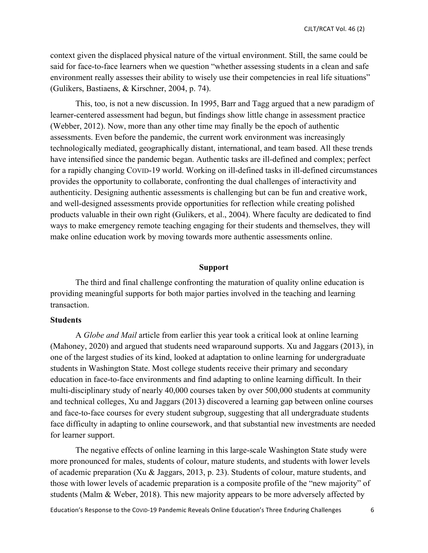context given the displaced physical nature of the virtual environment. Still, the same could be said for face-to-face learners when we question "whether assessing students in a clean and safe environment really assesses their ability to wisely use their competencies in real life situations" (Gulikers, Bastiaens, & Kirschner, 2004, p. 74).

This, too, is not a new discussion. In 1995, Barr and Tagg argued that a new paradigm of learner-centered assessment had begun, but findings show little change in assessment practice (Webber, 2012). Now, more than any other time may finally be the epoch of authentic assessments. Even before the pandemic, the current work environment was increasingly technologically mediated, geographically distant, international, and team based. All these trends have intensified since the pandemic began. Authentic tasks are ill-defined and complex; perfect for a rapidly changing COVID-19 world. Working on ill-defined tasks in ill-defined circumstances provides the opportunity to collaborate, confronting the dual challenges of interactivity and authenticity. Designing authentic assessments is challenging but can be fun and creative work, and well-designed assessments provide opportunities for reflection while creating polished products valuable in their own right (Gulikers, et al., 2004). Where faculty are dedicated to find ways to make emergency remote teaching engaging for their students and themselves, they will make online education work by moving towards more authentic assessments online.

#### **Support**

The third and final challenge confronting the maturation of quality online education is providing meaningful supports for both major parties involved in the teaching and learning transaction.

# **Students**

A *Globe and Mail* article from earlier this year took a critical look at online learning (Mahoney, 2020) and argued that students need wraparound supports. Xu and Jaggars (2013), in one of the largest studies of its kind, looked at adaptation to online learning for undergraduate students in Washington State. Most college students receive their primary and secondary education in face-to-face environments and find adapting to online learning difficult. In their multi-disciplinary study of nearly 40,000 courses taken by over 500,000 students at community and technical colleges, Xu and Jaggars (2013) discovered a learning gap between online courses and face-to-face courses for every student subgroup, suggesting that all undergraduate students face difficulty in adapting to online coursework, and that substantial new investments are needed for learner support.

The negative effects of online learning in this large-scale Washington State study were more pronounced for males, students of colour, mature students, and students with lower levels of academic preparation (Xu & Jaggars, 2013, p. 23). Students of colour, mature students, and those with lower levels of academic preparation is a composite profile of the "new majority" of students (Malm & Weber, 2018). This new majority appears to be more adversely affected by

Education's Response to the Covid-19 Pandemic Reveals Online Education's Three Enduring Challenges 6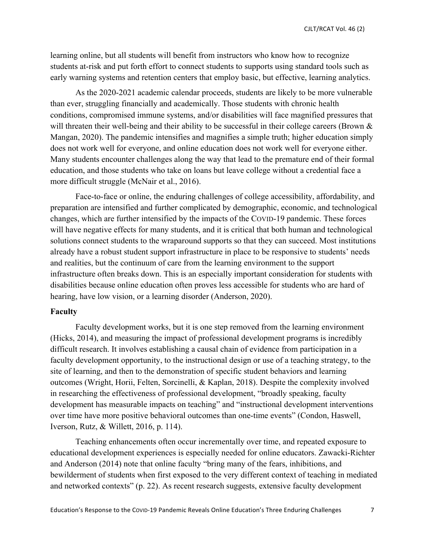learning online, but all students will benefit from instructors who know how to recognize students at-risk and put forth effort to connect students to supports using standard tools such as early warning systems and retention centers that employ basic, but effective, learning analytics.

As the 2020-2021 academic calendar proceeds, students are likely to be more vulnerable than ever, struggling financially and academically. Those students with chronic health conditions, compromised immune systems, and/or disabilities will face magnified pressures that will threaten their well-being and their ability to be successful in their college careers (Brown  $\&$ Mangan, 2020). The pandemic intensifies and magnifies a simple truth; higher education simply does not work well for everyone, and online education does not work well for everyone either. Many students encounter challenges along the way that lead to the premature end of their formal education, and those students who take on loans but leave college without a credential face a more difficult struggle (McNair et al., 2016).

Face-to-face or online, the enduring challenges of college accessibility, affordability, and preparation are intensified and further complicated by demographic, economic, and technological changes, which are further intensified by the impacts of the COVID-19 pandemic. These forces will have negative effects for many students, and it is critical that both human and technological solutions connect students to the wraparound supports so that they can succeed. Most institutions already have a robust student support infrastructure in place to be responsive to students' needs and realities, but the continuum of care from the learning environment to the support infrastructure often breaks down. This is an especially important consideration for students with disabilities because online education often proves less accessible for students who are hard of hearing, have low vision, or a learning disorder (Anderson, 2020).

# **Faculty**

Faculty development works, but it is one step removed from the learning environment (Hicks, 2014), and measuring the impact of professional development programs is incredibly difficult research. It involves establishing a causal chain of evidence from participation in a faculty development opportunity, to the instructional design or use of a teaching strategy, to the site of learning, and then to the demonstration of specific student behaviors and learning outcomes (Wright, Horii, Felten, Sorcinelli, & Kaplan, 2018). Despite the complexity involved in researching the effectiveness of professional development, "broadly speaking, faculty development has measurable impacts on teaching" and "instructional development interventions over time have more positive behavioral outcomes than one-time events" (Condon, Haswell, Iverson, Rutz, & Willett, 2016, p. 114).

Teaching enhancements often occur incrementally over time, and repeated exposure to educational development experiences is especially needed for online educators. Zawacki-Richter and Anderson (2014) note that online faculty "bring many of the fears, inhibitions, and bewilderment of students when first exposed to the very different context of teaching in mediated and networked contexts" (p. 22). As recent research suggests, extensive faculty development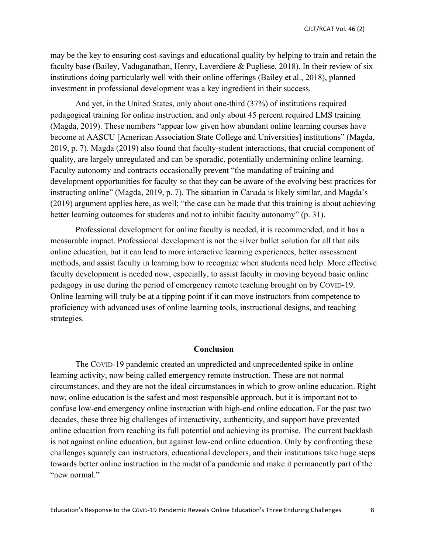may be the key to ensuring cost-savings and educational quality by helping to train and retain the faculty base (Bailey, Vaduganathan, Henry, Laverdiere & Pugliese, 2018). In their review of six institutions doing particularly well with their online offerings (Bailey et al., 2018), planned investment in professional development was a key ingredient in their success.

And yet, in the United States, only about one-third (37%) of institutions required pedagogical training for online instruction, and only about 45 percent required LMS training (Magda, 2019). These numbers "appear low given how abundant online learning courses have become at AASCU [American Association State College and Universities] institutions" (Magda, 2019, p. 7). Magda (2019) also found that faculty-student interactions, that crucial component of quality, are largely unregulated and can be sporadic, potentially undermining online learning. Faculty autonomy and contracts occasionally prevent "the mandating of training and development opportunities for faculty so that they can be aware of the evolving best practices for instructing online" (Magda, 2019, p. 7). The situation in Canada is likely similar, and Magda's (2019) argument applies here, as well; "the case can be made that this training is about achieving better learning outcomes for students and not to inhibit faculty autonomy" (p. 31).

Professional development for online faculty is needed, it is recommended, and it has a measurable impact. Professional development is not the silver bullet solution for all that ails online education, but it can lead to more interactive learning experiences, better assessment methods, and assist faculty in learning how to recognize when students need help. More effective faculty development is needed now, especially, to assist faculty in moving beyond basic online pedagogy in use during the period of emergency remote teaching brought on by COVID-19. Online learning will truly be at a tipping point if it can move instructors from competence to proficiency with advanced uses of online learning tools, instructional designs, and teaching strategies.

### **Conclusion**

The COVID-19 pandemic created an unpredicted and unprecedented spike in online learning activity, now being called emergency remote instruction. These are not normal circumstances, and they are not the ideal circumstances in which to grow online education. Right now, online education is the safest and most responsible approach, but it is important not to confuse low-end emergency online instruction with high-end online education. For the past two decades, these three big challenges of interactivity, authenticity, and support have prevented online education from reaching its full potential and achieving its promise. The current backlash is not against online education, but against low-end online education. Only by confronting these challenges squarely can instructors, educational developers, and their institutions take huge steps towards better online instruction in the midst of a pandemic and make it permanently part of the "new normal."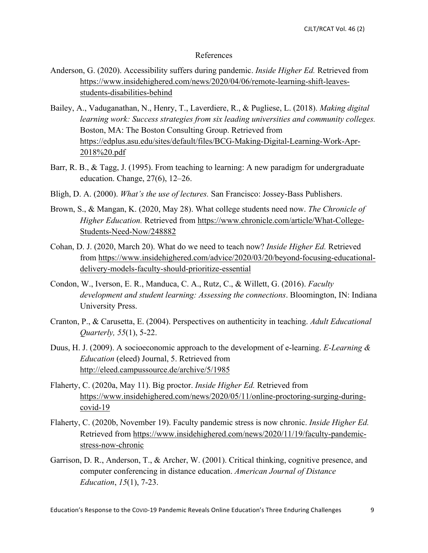## References

- Anderson, G. (2020). Accessibility suffers during pandemic. *Inside Higher Ed.* Retrieved from https://www.insidehighered.com/news/2020/04/06/remote-learning-shift-leavesstudents-disabilities-behind
- Bailey, A., Vaduganathan, N., Henry, T., Laverdiere, R., & Pugliese, L. (2018). *Making digital learning work: Success strategies from six leading universities and community colleges.* Boston, MA: The Boston Consulting Group. Retrieved from https://edplus.asu.edu/sites/default/files/BCG-Making-Digital-Learning-Work-Apr-2018%20.pdf
- Barr, R. B., & Tagg, J. (1995). From teaching to learning: A new paradigm for undergraduate education. Change, 27(6), 12–26.
- Bligh, D. A. (2000). *What's the use of lectures.* San Francisco: Jossey-Bass Publishers.
- Brown, S., & Mangan, K. (2020, May 28). What college students need now. *The Chronicle of Higher Education.* Retrieved from https://www.chronicle.com/article/What-College-Students-Need-Now/248882
- Cohan, D. J. (2020, March 20). What do we need to teach now? *Inside Higher Ed.* Retrieved from https://www.insidehighered.com/advice/2020/03/20/beyond-focusing-educationaldelivery-models-faculty-should-prioritize-essential
- Condon, W., Iverson, E. R., Manduca, C. A., Rutz, C., & Willett, G. (2016). *Faculty development and student learning: Assessing the connections*. Bloomington, IN: Indiana University Press.
- Cranton, P., & Carusetta, E. (2004). Perspectives on authenticity in teaching. *Adult Educational Quarterly, 55*(1), 5-22.
- Duus, H. J. (2009). A socioeconomic approach to the development of e-learning. *E-Learning & Education* (eleed) Journal, 5. Retrieved from http://eleed.campussource.de/archive/5/1985
- Flaherty, C. (2020a, May 11). Big proctor. *Inside Higher Ed.* Retrieved from https://www.insidehighered.com/news/2020/05/11/online-proctoring-surging-duringcovid-19
- Flaherty, C. (2020b, November 19). Faculty pandemic stress is now chronic. *Inside Higher Ed.*  Retrieved from https://www.insidehighered.com/news/2020/11/19/faculty-pandemicstress-now-chronic
- Garrison, D. R., Anderson, T., & Archer, W. (2001). Critical thinking, cognitive presence, and computer conferencing in distance education. *American Journal of Distance Education*, *15*(1), 7-23.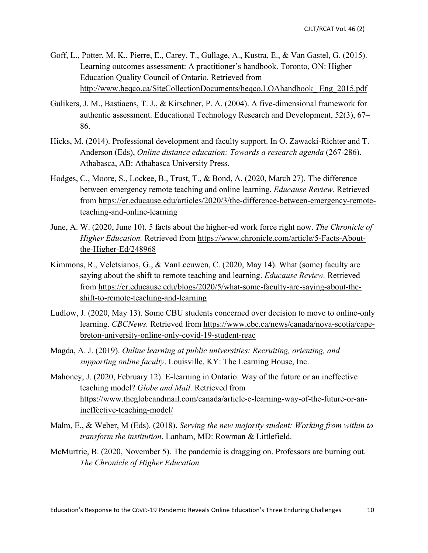- Goff, L., Potter, M. K., Pierre, E., Carey, T., Gullage, A., Kustra, E., & Van Gastel, G. (2015). Learning outcomes assessment: A practitioner's handbook. Toronto, ON: Higher Education Quality Council of Ontario. Retrieved from http://www.heqco.ca/SiteCollectionDocuments/heqco.LOAhandbook\_ Eng\_2015.pdf
- Gulikers, J. M., Bastiaens, T. J., & Kirschner, P. A. (2004). A five-dimensional framework for authentic assessment. Educational Technology Research and Development, 52(3), 67– 86.
- Hicks, M. (2014). Professional development and faculty support. In O. Zawacki-Richter and T. Anderson (Eds), *Online distance education: Towards a research agenda* (267-286). Athabasca, AB: Athabasca University Press.
- Hodges, C., Moore, S., Lockee, B., Trust, T., & Bond, A. (2020, March 27). The difference between emergency remote teaching and online learning. *Educause Review.* Retrieved from https://er.educause.edu/articles/2020/3/the-difference-between-emergency-remoteteaching-and-online-learning
- June, A. W. (2020, June 10). 5 facts about the higher-ed work force right now. *The Chronicle of Higher Education.* Retrieved from https://www.chronicle.com/article/5-Facts-Aboutthe-Higher-Ed/248968
- Kimmons, R., Veletsianos, G., & VanLeeuwen, C. (2020, May 14). What (some) faculty are saying about the shift to remote teaching and learning. *Educause Review.* Retrieved from https://er.educause.edu/blogs/2020/5/what-some-faculty-are-saying-about-theshift-to-remote-teaching-and-learning
- Ludlow, J. (2020, May 13). Some CBU students concerned over decision to move to online-only learning. *CBCNews.* Retrieved from https://www.cbc.ca/news/canada/nova-scotia/capebreton-university-online-only-covid-19-student-reac
- Magda, A. J. (2019). *Online learning at public universities: Recruiting, orienting, and supporting online faculty*. Louisville, KY: The Learning House, Inc.
- Mahoney, J. (2020, February 12). E-learning in Ontario: Way of the future or an ineffective teaching model? *Globe and Mail.* Retrieved from https://www.theglobeandmail.com/canada/article-e-learning-way-of-the-future-or-anineffective-teaching-model/
- Malm, E., & Weber, M (Eds). (2018). *Serving the new majority student: Working from within to transform the institution*. Lanham, MD: Rowman & Littlefield.
- McMurtrie, B. (2020, November 5). The pandemic is dragging on. Professors are burning out. *The Chronicle of Higher Education.*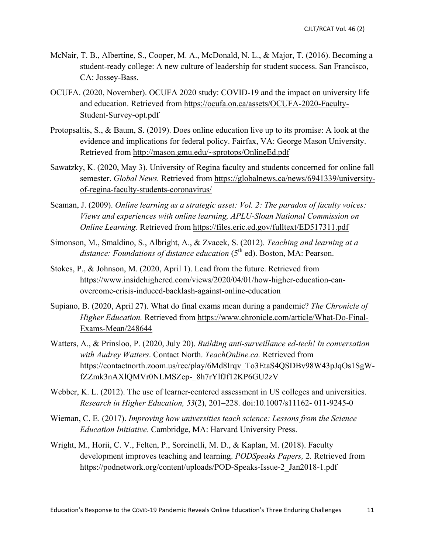- McNair, T. B., Albertine, S., Cooper, M. A., McDonald, N. L., & Major, T. (2016). Becoming a student-ready college: A new culture of leadership for student success. San Francisco, CA: Jossey-Bass.
- OCUFA. (2020, November). OCUFA 2020 study: COVID-19 and the impact on university life and education. Retrieved from https://ocufa.on.ca/assets/OCUFA-2020-Faculty-Student-Survey-opt.pdf
- Protopsaltis, S., & Baum, S. (2019). Does online education live up to its promise: A look at the evidence and implications for federal policy. Fairfax, VA: George Mason University. Retrieved from http://mason.gmu.edu/~sprotops/OnlineEd.pdf
- Sawatzky, K. (2020, May 3). University of Regina faculty and students concerned for online fall semester. *Global News.* Retrieved from https://globalnews.ca/news/6941339/universityof-regina-faculty-students-coronavirus/
- Seaman, J. (2009). *Online learning as a strategic asset: Vol. 2: The paradox of faculty voices: Views and experiences with online learning, APLU-Sloan National Commission on Online Learning.* Retrieved from https://files.eric.ed.gov/fulltext/ED517311.pdf
- Simonson, M., Smaldino, S., Albright, A., & Zvacek, S. (2012). *Teaching and learning at a*  distance: Foundations of distance education (5<sup>th</sup> ed). Boston, MA: Pearson.
- Stokes, P., & Johnson, M. (2020, April 1). Lead from the future. Retrieved from https://www.insidehighered.com/views/2020/04/01/how-higher-education-canovercome-crisis-induced-backlash-against-online-education
- Supiano, B. (2020, April 27). What do final exams mean during a pandemic? *The Chronicle of Higher Education.* Retrieved from https://www.chronicle.com/article/What-Do-Final-Exams-Mean/248644
- Watters, A., & Prinsloo, P. (2020, July 20). *Building anti-surveillance ed-tech! In conversation with Audrey Watters*. Contact North. *TeachOnline.ca.* Retrieved from https://contactnorth.zoom.us/rec/play/6Md8Irqv\_To3EtaS4QSDBv98W43pJqOs1SgWfZZmk3nAXlQMVr0NLMSZep-\_8h7rYlfJf12KP6GU2zV
- Webber, K. L. (2012). The use of learner-centered assessment in US colleges and universities. *Research in Higher Education, 53*(2), 201–228. doi:10.1007/s11162- 011-9245-0
- Wieman, C. E. (2017). *Improving how universities teach science: Lessons from the Science Education Initiative*. Cambridge, MA: Harvard University Press.
- Wright, M., Horii, C. V., Felten, P., Sorcinelli, M. D., & Kaplan, M. (2018). Faculty development improves teaching and learning. *PODSpeaks Papers,* 2*.* Retrieved from https://podnetwork.org/content/uploads/POD-Speaks-Issue-2\_Jan2018-1.pdf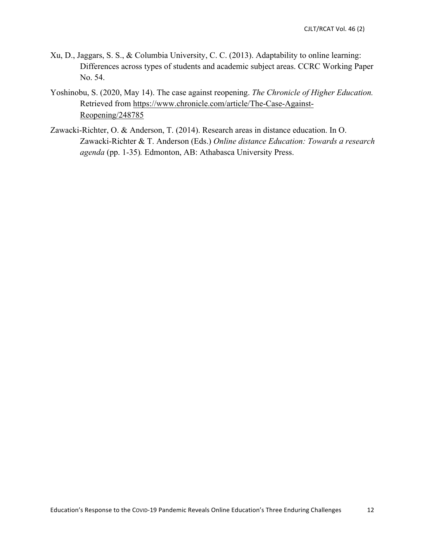- Xu, D., Jaggars, S. S., & Columbia University, C. C. (2013). Adaptability to online learning: Differences across types of students and academic subject areas. CCRC Working Paper No. 54.
- Yoshinobu, S. (2020, May 14). The case against reopening. *The Chronicle of Higher Education.*  Retrieved from https://www.chronicle.com/article/The-Case-Against-Reopening/248785
- Zawacki-Richter, O. & Anderson, T. (2014). Research areas in distance education. In O. Zawacki-Richter & T. Anderson (Eds.) *Online distance Education: Towards a research agenda* (pp. 1-35)*.* Edmonton, AB: Athabasca University Press.